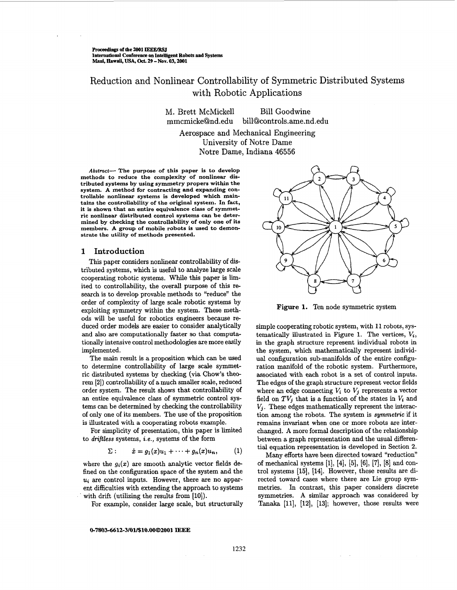<span id="page-0-0"></span>proceedings **of the 2001** IEEE/RsJ **International Conference on Intelligent Robots and Systems** Mat& **Hawail, USA,** *Oct.* **29 -NOV. 03,2001** 

# Reduction and Nonlinear Controllability of Symmetric Distributed Systems with Robotic Applications

M. Brett McMickell Bill Goodwine [mmcmicke@nd.edu](mailto:mmcmicke@nd.edu) **[bill@controls.ame.nd.edu](mailto:bill@controls.ame.nd.edu)** 

Aerospace and Mechanical Engineering University of Notre Dame Notre Dame, Indiana 46556

*Altstmct-* **The purpose of this paper is to develop methods to reduce the complexity of nonlinear distributed systems by using symmetry propers within the system. A method for contracting and expanding controllable nonlinear systems is developed which maintains the controllability of the original system. In fact, it is shown that an entire equivalence class of symmetric nonlinear distributed control systems can be determined by checking the controllability of only one of its members. A group of mobile robots is used to demonstrate the utility of methods presented.** 

## **1 Introduction**

This paper considers nonlinear controllability of distributed systems, which is useful to analyze large scale cooperating robotic systems. While this paper is limited to controllability, the overall purpose of this **re**search is to develop provable methods to "reduce" the order of complexity of large scale robotic systems by exploiting symmetry within the system. These methods will be useful for robotics engineers because **re**duced order models are easier to consider analytically and also are computationally faster so that computationally intensive control methodologies are more easily implemented.

The main result is **a** proposition which can be used to determine controllability of large scale symmetric distributed systems by checking (via Chow's theorem **[2])** controllability of a much smaller scale, reduced order system. The result shows that controllability of an entire equivalence class of symmetric control systems can be determined by checking the controllability of only one of its members. The use of the proposition is illustrated with a cooperating robots example.

For simplicity of presentation, this paper is limited to *driftless* systems, *i.e.,* systems of the form

$$
\Sigma: \qquad \dot{x} = g_1(x)u_1 + \cdots + g_n(x)u_n, \qquad (1)
$$

where the  $g_i(x)$  are smooth analytic vector fields defined on the configuration space of the system and the *ui* are control inputs. However, there are no apparent difficulties with extending the approach to systems with drift (utilizing the results from [10]).

0-7803-6612-3/01/\$10.00@2001 **IEEE** 

For example, consider large scale, but structurally

# $\mathbf{1}$  $10$

**Figure 1.** Ten node symmetric system

simple cooperating robotic system, with **11** robots, systematically illustrated in Figure 1. The vertices,  $V_i$ , in the graph structure represent individual robots in the system, which mathematically represent individual configuration sub-manifolds of the entire configuration manifold of the robotic system. Furthermore, associated with each robot is a set of control inputs. The edges of the graph structure represent vector fields where an edge connecting  $V_i$  to  $V_j$  represents a vector field on  $TV_i$  that is a function of the states in  $V_i$  and  $V_j$ . These edges mathematically represent the interaction among the robots. The system is *symmetric* if it remains invariant when one or more robots are interchanged. **A** more formal description of the relationship between a graph representation and the usual differential equation representation is developed in Section **2.** 

Many efforts have been directed toward "reduction" of mechanical systems [l], [4], *[5],* **[6], [7], [8]** and control systems **[15],** [14]. However, these results are directed toward cases where there are Lie group symmetries. In contrast, this paper considers discrete symmetries. **A** similar approach was considered by Tanaka [ll], **[12], [13];** however, those results were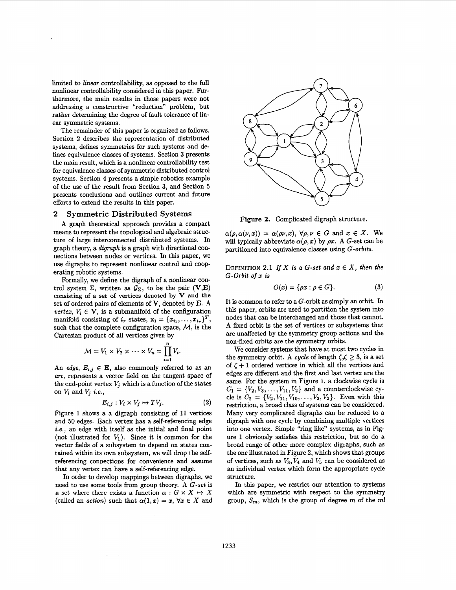limited to *linear* controllability, **as** opposed to the full nonlinear controllability considered in this paper. **Fur**thermore, the main results in those papers were not addressing **a** constructive "reduction" problem, but rather determining the degree of fault tolerance of linear symmetric systems.

The remainder of this paper is organized **as** follows. Section **2** describes the representation of distributed systems, defines symmetries for such systems and defines equivalence classes of systems. Section **3** presents the main result, which is a nonlinear controllability test for equivalence classes of symmetric distributed control systems. Section **4** presents a simple robotics example of the use of the result from Section **3,** and Section **5**  presents conclusions and outlines current and future efforts to extend the results in this paper.

### **2 Symmetric Distributed Systems**

**A** graph theoretical approach provides a compact means to represent the topological and algebraic structure of large interconnected distributed systems. In graph theory, a *digraph* is a graph with directional connections between nodes or vertices. In this paper, we use digraphs to represent nonlinear control and cooperating robotic systems.

Formally, we define the digraph of a nonlinear control system  $\Sigma$ , written as  $\mathcal{G}_{\Sigma}$ , to be the pair **(V,E)** consisting of a set of vertices denoted by **V** and the set of ordered pairs of elements of V, denoted by **E. A**  *vertex,*  $V_i \in \mathbf{V}$ *, is a submanifold of the configuration* manifold consisting of  $i_r$  states,  $\mathbf{x_i} = \{x_{i_1}, \ldots, x_{i_r}\}^T$ , such that the complete configuration space,  $M$ , is the Cartesian product of all vertices given by

$$
\mathcal{M}=V_1\times V_2\times\cdots\times V_n=\prod_{i=1}^n V_i.
$$

An *edge,*  $E_{i,j} \in \mathbf{E}$ , also commonly referred to as an *arc,* represents a vector field on the tangent space of the end-point vertex  $V_j$  which is a function of the states on  $V_i$  and  $V_j$  *i.e.*,

$$
E_{i,j}: V_i \times V_j \mapsto TV_j. \tag{2}
$$

[Figure](#page-0-0) *1* shows a a digraph consisting of 11 vertices and 50 edges. Each vertex has a self-referencing edge *i.e.,* **an** edge with itself **as** the initial and final point (not illustrated for  $V_1$ ). Since it is common for the vector fields of a subsystem to depend on states contained within its own subsystem, we will drop the selfreferencing connections for convenience and assume that any vertex can have a self-referencing edge.

In order to develop mappings between digraphs, we need to use some tools from group theory. **A** G-set is a set where there exists a function  $\alpha: G \times X \mapsto X$ (called an *action*) such that  $\alpha(1,x) = x, \forall x \in X$  and



**Figure 2.** Complicated digraph structure.

 $\alpha(\rho, \alpha(\nu, x)) = \alpha(\rho \nu, x), \ \forall \rho, \nu \in G \text{ and } x \in X.$  We will typically abbreviate  $\alpha(\rho, x)$  by  $\rho x$ . A *G*-set can be partitioned into equivalence classes using G-orbits.

**DEFINITION 2.1 If X is a G-set and**  $x \in X$ **, then the** *G-Orbit of x is* 

$$
O(x) = \{\rho x : \rho \in G\}.
$$
 (3)

It is common to refer to a G-orbit as simply an orbit. In this paper, orbits are used to partition the system into nodes that can be interchanged and those that cannot. **A** fixed orbit is the set of vertices or subsystems that are unaffected by the symmetry group actions and the non-fixed orbits are the symmetry orbits.

We consider systems that have at most two cycles in the symmetry orbit. A *cycle* of length  $\zeta, \zeta \geq 3$ , is a set of  $\zeta$  + 1 ordered vertices in which all the vertices and edges are different and the first and last vertex are the same. For the system in Figure *1,* a clockwise cycle is  $C_1 = \{V_2, V_3, \ldots, V_{11}, V_2\}$  and a counterclockwise cycle is  $C_2 = \{V_2, V_{11}, V_{10}, \ldots, V_3, V_2\}$ . Even with this restriction, a broad class of systems can be considered. Many very complicated digraphs can be reduced to a digraph with one cycle by combining multiple vertices into one vertex. Simple "ring like" systems, as in Fig[ure](#page-0-0) *1* obviously satisfies this restriction, but so do a broad range of other more complex digraphs, such **as**  the one illustrated in Figure **2,** which shows that groups of vertices, such as  $V_3$ ,  $V_4$  and  $V_5$  can be considered as an individual vertex which form the appropriate cycle structure.

In this paper, we restrict our attention to systems which are symmetric with respect to the symmetry group,  $S_m$ , which is the group of degree *m* of the *m!*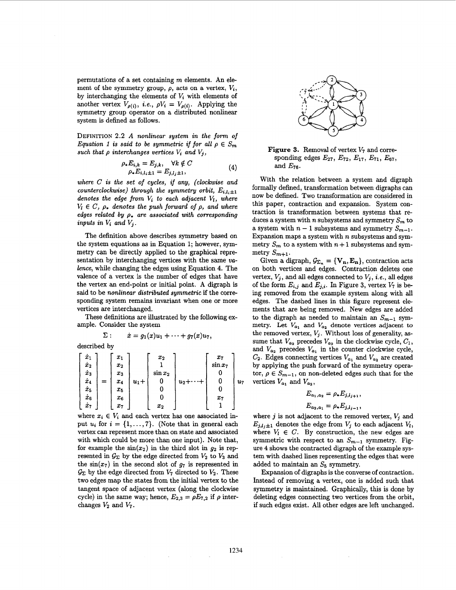permutations of a set containing *m* elements. An element of the symmetry group,  $\rho$ , acts on a vertex,  $V_i$ , by interchanging the elements of  $V_i$  with elements of another vertex  $V_{\rho(i)}$ , *i.e.*,  $\rho V_i = V_{\rho(i)}$ . Applying the symmetry group operator on a distributed nonlinear system is defined **as** follows.

**DEFINITION 2.2** *A nonlinear system in the form of Equation 1 is said to be symmetric if for all*  $\rho \in S_m$ such that  $\rho$  interchanges vertices  $V_i$  and  $V_j$ ,

$$
\rho_* E_{i,k} = E_{j,k}, \quad \forall k \notin C \n\rho_* E_{i,l_i \pm 1} = E_{j,l_j \pm 1},
$$
\n(4)

*where C is the set of cycles, if any, (clockwise and counterclockwise)* through the symmetry orbit,  $E_{i,l,i+1}$ *denotes the edge from* vi *to each adjacent* V;, *where*   $V_i \in C$ ,  $\rho_*$  denotes the push forward of  $\rho$ , and where *edges related by*  $\rho_*$  are associated with corresponding *inputs in*  $V_i$  *and*  $V_j$ .

The definition above describes symmetry based on the system equations **as** in Equation 1; however, symmetry can be directly applied to the graphical representation by interchanging vertices with the same *ualence,* while changing the edges using Equation **4.** The valence of a vertex is the number of edges that have the vertex **an** end-point or initial point. A digraph is said to be *nonlinear distributed symmetric* if the corresponding system remains invariant when one or more vertices are interchanged.

These definitions are illustrated by the following example. Consider the system

$$
\Sigma: \qquad \dot{x} = g_1(x)u_1 + \cdots + g_7(x)u_7,
$$

described by

| $\dot{x}_1$<br>$\dot{\bm{x}}_2$<br>$\dot{x}_3$<br>$\dot{x}_4$<br>$\dot{x}_5$<br>$\dot{x}_6$ | $x_1$<br>$x_2$<br>$x_3$<br>$x_4$<br>$x_5$<br>$x_6$ | $u_1 +$ | $x_2$<br>$\sin x_2$ | $u_2+\cdots+$ | $x_7$<br>$\sin x_7$<br>$x_7$ | $u_7$ |
|---------------------------------------------------------------------------------------------|----------------------------------------------------|---------|---------------------|---------------|------------------------------|-------|
| $\dot{x}_7$                                                                                 | $x_7$                                              |         | $x_2$               |               |                              |       |

where  $x_i \in V_i$  and each vertex has one associated input  $u_i$  for  $i = \{1, \ldots, 7\}$ . (Note that in general each vertex can represent more than on state and associated with which could be more than one input). Note that, for example the  $sin(x_2)$  in the third slot in  $g_2$  is represented in  $\mathcal{G}_{\Sigma}$  by the edge directed from  $V_2$  to  $V_3$  and the  $sin(x_7)$  in the second slot of  $g_7$  is represented in  $\mathcal{G}_{\Sigma}$  by the edge directed from  $V_7$  directed to  $V_2$ . These two edges map the states from the initial vertex to the tangent space of adjacent vertex (along the clockwise cycle) in the same way; hence,  $E_{2,3} = \rho E_{7,2}$  if  $\rho$  interchanges  $V_2$  and  $V_7$ .



**Figure 3.** Removal of vertex *V7* and corresponding edges  $E_{27}$ ,  $E_{72}$ ,  $E_{17}$ ,  $E_{71}$ ,  $E_{67}$ , and *E76.* 

With the relation between a system and digraph formally defined, transformation between digraphs can now be defined. Two transformation are considered in this paper, contraction and expansion. System contraction is transformation between systems that **re**duces a system with *n* subsystems and symmetry  $S_m$  to a system with  $n-1$  subsystems and symmetry  $S_{m-1}$ . Expansion maps a system with *n* subsystems and symmetry  $S_m$  to a system with  $n+1$  subsystems and symmetry  $S_{m+1}$ .

Given a digraph,  $\mathcal{G}_{\Sigma_n} = \{V_n, E_n\}$ , contraction acts on both vertices and edges. Contraction deletes one vertex,  $V_j$ , and all edges connected to  $V_j$ , *i.e.*, all edges of the form  $E_{i,j}$  and  $E_{j,i}$ . In Figure 3, vertex  $V_7$  is being removed from the example system along with all edges. The dashed limes in this figure represent elements that are being removed. New edges are added to the digraph as needed to maintain an  $S_{m-1}$  symmetry. Let  $V_{a_1}$  and  $V_{a_2}$  denote vertices adjacent to the removed vertex, *Vj.* Without loss of generality, **as**sume that  $V_{a_2}$  precedes  $V_{a_2}$  in the clockwise cycle,  $C_1$ , and  $V_{a_2}$  precedes  $V_{a_1}$  in the counter clockwise cycle,  $C_2$ . Edges connecting vertices  $V_{a_1}$  and  $V_{a_2}$  are created by applying the push forward of the symmetry operator,  $\rho \in S_{m-1}$ , on non-deleted edges such that for the vertices  $V_{a_1}$  and  $V_{a_2}$ ,

$$
E_{a_1,a_2} = \rho_* E_{j,l_{j+1}},
$$
  

$$
E_{a_2,a_1} = \rho_* E_{j,l_{j-1}},
$$

where  $j$  is not adjacent to the removed vertex,  $V_j$  and  $E_{j,l_j\pm 1}$  denotes the edge from  $V_j$  to each adjacent  $V_l$ , where  $V_l \in C$ . By construction, the new edges are symmetric with respect to an  $S_{m-1}$  symmetry. Fig[ure](#page-3-0) **4** shows the contracted digraph of the example system with dashed lines representing the edges that were added to maintain an  $S_5$  symmetry.

Expansion of digraphs is the converse of contraction. Instead of removing a vertex, one is added such that symmetry is maintained. Graphically, this is done by deleting edges connecting two vertices from the orbit, if such edges exist. All other edges are left unchanged.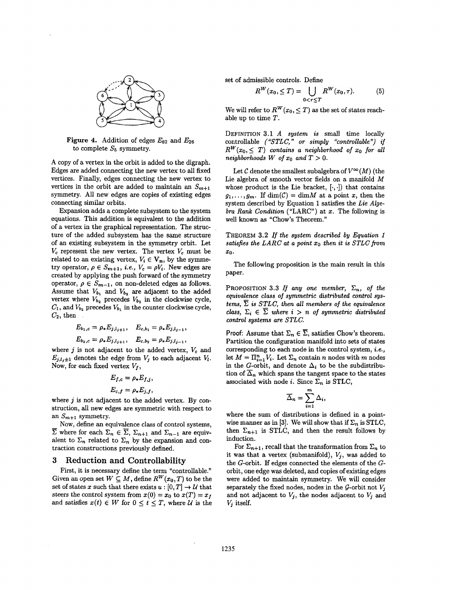<span id="page-3-0"></span>

**Figure 4.** Addition of edges *E62* and *E26*  to complete  $S_5$  symmetry.

A copy of a vertex in the orbit is added to the digraph. Edges are added connecting the new vertex to all **fixed**  vertices. Finally, edges connecting the new vertex to vertices in the orbit are added to maintain an  $S_{m+1}$ symmetry. All new edges are copies of existing edges connecting similar orbits.

Expansion adds a complete subsystem to the system equations. This addition is equivalent to the addition of a vertex in the graphical representation. The structure of the added subsystem has the same structure of an existing subsystem in the symmetry orbit. Let  $V_c$  represent the new vertex. The vertex  $V_c$  must be related to an existing vertex,  $V_i \in V_n$ , by the symmetry operator,  $\rho \in S_{m+1}$ , *i.e.*,  $V_c = \rho V_i$ . New edges are created by applying the push forward of the symmetry operator,  $\rho \in S_{m-1}$ , on non-deleted edges as follows. Assume that  $V_{b_1}$  and  $V_{b_2}$  are adjacent to the added vertex where  $V_{b_2}$  precedes  $V_{b_2}$  in the clockwise cycle,  $C_1$ , and  $V_{b_2}$  precedes  $V_{b_1}$  in the counter clockwise cycle,  $C_2$ , then

$$
E_{b_1,c} = \rho_* E_{j,l_{j+1}}, \quad E_{c,b_1} = \rho_* E_{j,l_{j-1}},
$$
  

$$
E_{b_2,c} = \rho_* E_{j,l_{j+1}}, \quad E_{c,b_2} = \rho_* E_{j,l_{j-1}},
$$

where  $j$  is not adjacent to the added vertex,  $V_c$  and  $E_{j,l,j+1}$  denotes the edge from  $V_j$  to each adjacent  $V_l$ . Now, for each fixed vertex  $V_f$ ,

$$
E_{f,c} = \rho_* E_{f,j},
$$
  

$$
E_{c,f} = \rho_* E_{j,f},
$$

where  $j$  is not adjacent to the added vertex. By construction, all new edges are symmetric with respect to

an  $S_{m+1}$  symmetry.<br>Now, define an eq<br> $\overline{\Sigma}$  where for each  $\Sigma$ Now, define **an** equivalence class of control systems,  $\overline{\Sigma}$  where for each  $\Sigma_n \in \overline{\Sigma}$ ,  $\Sigma_{n+1}$  and  $\Sigma_{n-1}$  are equivalent to  $\Sigma_n$  related to  $\Sigma_n$  by the expansion and contraction constructions previously defined.

### **3 Reduction and Controllability**

First, it is necessary define the term "controllable." Given an open set  $W \subseteq M$ , define  $R^W(x_0, T)$  to be the set of states *x* such that there exists  $u : [0, T] \to U$  that steers the control system from  $x(0) = x_0$  to  $x(T) = x_f$ and satisfies  $x(t) \in W$  for  $0 \le t \le T$ , where *U* is the set of admissible controls. Define

$$
R^{W}(x_0, \leq T) = \bigcup_{0 < \tau \leq T} R^{W}(x_0, \tau). \tag{5}
$$

We will refer to  $R^W(x_0, \leq T)$  as the set of states reachable up to time *T.* 

**DEFINITION 3.1** *A system is* small time locally controllable *("STLC,* " **or** *simply "controllable") if*   $R^{W}(x_0, \leq T)$  contains a neighborhood of  $x_0$  for all *neighborhoods W of*  $x_0$  *and*  $T > 0$ .

Let C denote the smallest subalgebra of  $V^{\infty}(M)$  (the Lie algebra of smooth vector fields on a manifold *M*  whose product is the Lie bracket,  $[\cdot, \cdot]$  that contains  $g_1, \ldots, g_m$ . If  $\dim(\mathcal{C}) = \dim M$  at a point x, then the system described by Equation 1 satisfies the *Lie Algebra Rank Condition* ("LARC") at *x.* The following is well known **as** "Chow's Theorem."

**THEOREM 3.2** *If the system described by Equation 1 satisfies the LARC at a point xo then it is STLC from 20.* 

The following proposition is the main result in this paper.

**PROPOSITION 3.3 If any one member,**  $\Sigma_n$ **, of the** *equivalence class* **of** *symmetric distributed control systems,*  $\overline{\Sigma}$  *is STLC, then all members of the equivalence class,*  $\Sigma_i \in \overline{\Sigma}$  *where*  $i > n$  *of symmetric distributed control systems are STLC.* 

Proof: Assume that  $\Sigma_n \in \overline{\Sigma}$ , satisfies Chow's theorem. Partition the configuration manifold into sets of states corresponding to each node in the control system, *i.e.,*  let  $M = \prod_{i=1}^n V_i$ . Let  $\Sigma_n$  contain *n* nodes with *m* nodes in the G-orbit, and denote  $\Delta_i$  to be the subdistribution of  $\overline{\Delta}_n$  which spans the tangent space to the states associated with node *i*. Since  $\Sigma_n$  is STLC,<br>  $\overline{\Delta}_n = \sum_{n=1}^{m} \Delta_n$ .

$$
\overline{\Delta}_n = \sum_{i=1}^m \Delta_i,
$$

where the sum of distributions is defined in a pointwise manner as in [3]. We will show that if  $\Sigma_n$  is STLC, then  $\Sigma_{n+1}$  is STLC, and then the result follows by induction.

For  $\Sigma_{n+1}$ , recall that the transformation from  $\Sigma_n$  to it was that a vertex (submanifold),  $V_j$ , was added to the G-orbit. If edges connected the elements of the Gorbit, one edge was deleted, and copies of existing edges were added to maintain symmetry. We will consider separately the fixed nodes, nodes in the  $G$ -orbit not  $V_j$ and not adjacent to  $V_j$ , the nodes adjacent to  $V_j$  and  $V_j$  itself.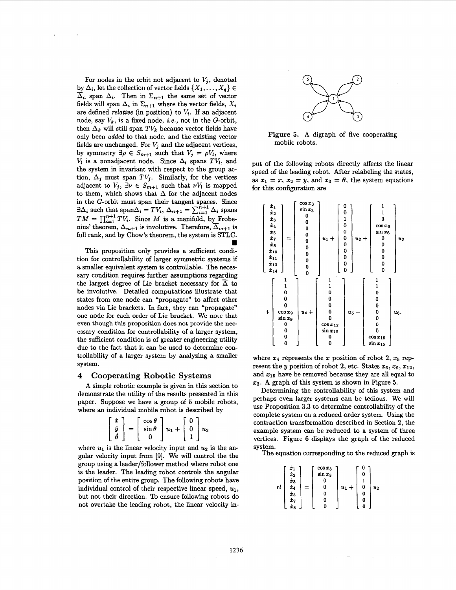For nodes in the orbit not adjacent to  $V_j$ , denoted For nodes in the orbit not adjacent to  $V_j$ , denoted<br>by  $\Delta_i$ , let the collection of vector fields  $\{X_1, \ldots, X_q\} \in \overline{\Delta}$ , span  $\Delta_i$ . Then in  $\Sigma_{i+1}$  the same set of vector  $\Delta_n$  span  $\Delta_i$ . Then in  $\Sigma_{n+1}$  the same set of vector fields will span  $\Delta_i$  in  $\Sigma_{n+1}$  where the vector fields,  $X_i$ are defined *relative* (in position) to  $V_i$ . If an adjacent node, say *vk,* is a fixed node, *i.e.,* not in the G-orbit, then  $\Delta_k$  will still span  $TV_k$  because vector fields have only been **added** to that node, and the existing vector fields are unchanged. For  $V_j$  and the adjacent vertices, by symmetry  $\exists \rho \in S_{m+1}$  such that  $V_j = \rho V_l$ , where  $V_i$  is a nonadjacent node. Since  $\Delta_i$  spans  $TV_i$ , and the system in invariant with respect to the group action,  $\Delta_j$  must span  $TV_j$ . Similarly, for the vertices adjacent to  $V_j$ ,  $\exists \nu \in S_{m+1}$  such that  $\nu V_l$  is mapped to them, which shows that  $\Delta$  for the adjacent nodes in the G-orbit must span their tangent spaces. Since  $\exists \Delta_i$  such that  $\text{span}\Delta_i = TV_i$ ,  $\Delta_{n+1} = \sum_{i=1}^{n+1} \Delta_i$  spans  $TM = \prod_{i=1}^{n+1} TV_i$ . Since *M* is a manifold, by Frobenius' theorem,  $\Delta_{m+1}$  is involutive. Therefore,  $\overline{\Delta}_{m+1}$  is full rank, and by Chow's theorem, the system is STLC.

This proposition only provides a sufficient condition for controllability of larger symmetric systems if a smaller equivalent system is controllable. The necessary condition requires further assumptions regarding the largest degree of Lie bracket necessary for  $\overline{\Delta}$  to be involutive. Detailed computations illustrate that states from one node can "propagate" to affect other nodes via Lie brackets. In fact, they can "propagate" one node for each order of Lie bracket. We note that even though **this** proposition does not provide the **nec**essary condition for controllability of a larger system, the sufficient condition is of greater engineering utility due to the fact that it can be used to determine controllability of a larger system by analyzing a smaller system.

### **4 Cooperating Robotic Systems**

**A** simple robotic example is given in this section to demonstrate the utility of the results presented in this paper. Suppose we have a group of 5 mobile robots,

where an individual mobile robot is described by\n
$$
\begin{bmatrix}\n\dot{x} \\
\dot{y} \\
\dot{\theta}\n\end{bmatrix} = \begin{bmatrix}\n\cos\theta \\
\sin\theta \\
0\n\end{bmatrix} u_1 + \begin{bmatrix}\n0 \\
0 \\
1\n\end{bmatrix} u_2
$$

where  $u_1$  is the linear velocity input and  $u_2$  is the angular velocity input from **[9].** We will control the the group using a leader/follower method where robot one is the leader. The leading robot controls the angular position of the entire group. The following robots have individual control of their respective linear speed,  $u_1$ , but not their direction. To ensure following robots do not overtake the leading robot, the linear velocity in-



**Figure 5. A** digraph of five cooperating mobile robots.

put of the following robots directly affects the linear speed of the leading robot. After relabeling the states, as  $x_1 = x$ ,  $x_2 = y$ , and  $x_3 = \theta$ , the system equations for this configuration are



where  $x_4$  represents the *x* position of robot 2,  $x_5$  represent the y position of robot 2, etc. States  $x_6, x_9, x_{12}$ , and  $x_{15}$  have be removed because they are all equal to *13.* **A** graph of this system is shown in Figure *5.* 

Determining the controllability of this system and perhaps even larger systems can be tedious. We will use Proposition **3.3** to determine controllability of the complete system on a reduced order system. Using the contraction transformation described in Section **2,** the example system can be reduced to a system of three vertices. Figure **6** displays the graph of the reduced system. The equation corresponding to the reduced graph is

$$
rl\left[\begin{array}{c} \dot{x}_1 \\ \dot{x}_2 \\ \dot{x}_3 \\ \dot{x}_4 \\ \dot{x}_5 \\ \dot{x}_7 \\ \dot{x}_8 \end{array}\right] = \left[\begin{array}{c} \cos x_3 \\ \sin x_3 \\ 0 \\ 0 \\ 0 \\ 0 \\ 0 \end{array}\right] u_1 + \left[\begin{array}{c} 0 \\ 0 \\ 1 \\ 0 \\ 0 \\ 0 \\ 0 \end{array}\right] u;
$$

п